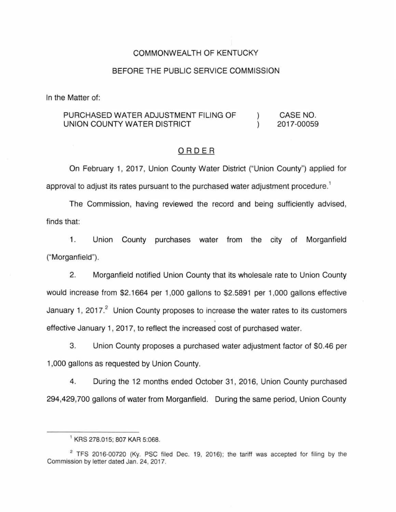### COMMONWEALTH OF KENTUCKY

#### BEFORE THE PUBLIC SERVICE COMMISSION

In the Matter of:

#### PURCHASED WATER ADJUSTMENT FILING OF CASE NO.  $\mathcal{L}$ UNION COUNTY WATER DISTRICT 2017-00059  $\mathcal{L}$

#### ORDER

On February 1, 2017, Union County Water District ("Union County") applied for approval to adjust its rates pursuant to the purchased water adjustment procedure.<sup>1</sup>

The Commission, having reviewed the record and being sufficiently advised, finds that:

1. Union County purchases water from the city of Morganfield ("Morganfield").

2. Morganfield notified Union County that its wholesale rate to Union County would increase from \$2.1664 per 1 ,000 gallons to \$2.5891 per 1 ,000 gallons effective January 1, 2017.<sup>2</sup> Union County proposes to increase the water rates to its customers effective January 1, 2017, to reflect the increased cost of purchased water.

3. Union County proposes a purchased water adjustment factor of \$0.46 per 1 ,000 gallons as requested by Union County.

4. During the 12 months ended October 31 , 2016, Union County purchased 294,429,700 gallons of water from Morganfield. During the same period, Union County

<sup>1</sup>KRS 278.015; 807 KAR 5:068.

<sup>&</sup>lt;sup>2</sup> TFS 2016-00720 (Ky. PSC filed Dec. 19, 2016); the tariff was accepted for filing by the Commission by letter dated Jan. 24, 2017.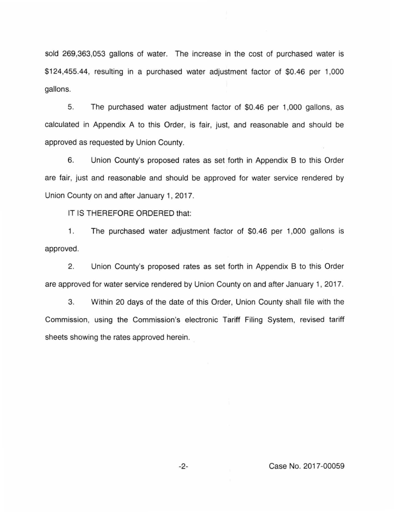sold 269,363,053 gallons of water. The increase in the cost of purchased water is \$124,455.44, resulting in a purchased water adjustment factor of \$0.46 per 1,000 gallons.

5. The purchased water adjustment factor of \$0.46 per 1 ,000 gallons, as calculated in Appendix A to this Order, is fair, just, and reasonable and should be approved as requested by Union County.

6. Union County's proposed rates as set forth in Appendix B to this Order are fair, just and reasonable and should be approved for water service rendered by Union County on and after January 1, 2017.

IT IS THEREFORE ORDERED that:

1. The purchased water adjustment factor of \$0.46 per 1,000 gallons is approved.

2. Union County's proposed rates as set forth in Appendix B to this Order are approved for water service rendered by Union County on and after January 1, 2017.

3. Within 20 days of the date of this Order, Union County shall file with the Commission, using the Commission's electronic Tariff Filing System, revised tariff sheets showing the rates approved herein.

-2- Case No. 2017-00059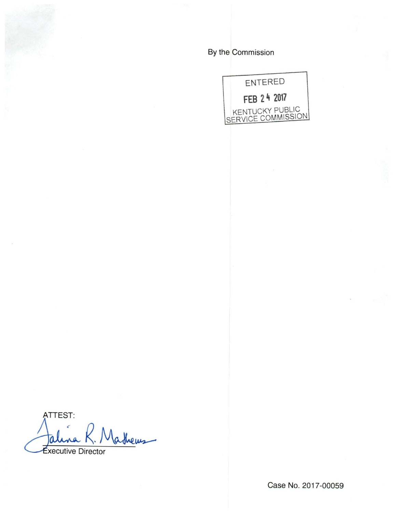By the Commission



ATTEST: athems *<u>Executive</u>* Director

Case No. 2017-00059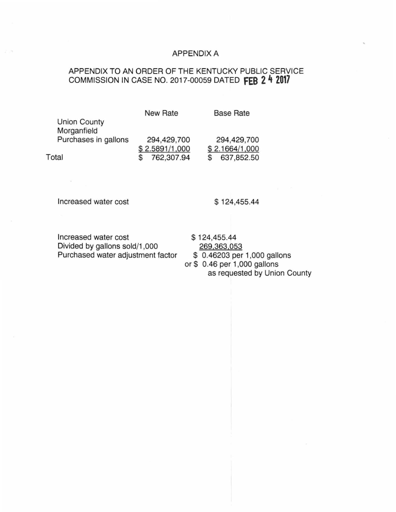### APPENDIX A

## APPENDIX TO AN ORDER OF THE KENTUCKY PUBLIC SERVICE COMMISSION IN CASE NO. 2017-00059 DATED **fEB 2 4 2017**

New Rate

Base Rate

| Morganfield          |                |                |
|----------------------|----------------|----------------|
| Purchases in gallons | 294,429,700    | 294,429,700    |
|                      | \$2.5891/1,000 | \$2.1664/1,000 |
| Total                | 762,307.94     | 637,852.50     |

Increased water cost

Union County

\$ 124,455.44

Increased water cost \$ 124,455.44 Divided by gallons sold/1,000<br>
Purchased water adjustment factor  $\frac{269,363,053}{0.46203}$  per 1,000 gallons Purchased water adjustment factor or\$ 0.46 per 1,000 gallons as requested by Union County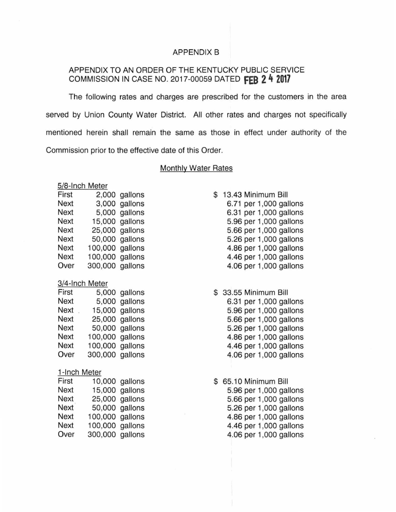#### APPENDIX B

### APPENDIX TO AN ORDER OF THE KENTUCKY PUBLIC SERVICE COMMISSION IN CASE NO. 2017-00059 DATED **fEB 2 4 2017**

The following rates and charges are prescribed for the customers in the area served by Union County Water District. All other rates and charges not specifically mentioned herein shall remain the same as those in effect under authority of the Commission prior to the effective date of this Order.

#### Monthly Water Rates

#### 5/8-lnch Meter

| First       |         | 2,000 gallons |
|-------------|---------|---------------|
| Next        | 3,000   | gallons       |
| <b>Next</b> | 5,000   | gallons       |
| <b>Next</b> | 15,000  | gallons       |
| <b>Next</b> | 25,000  | gallons       |
| <b>Next</b> | 50,000  | gallons       |
| <b>Next</b> | 100,000 | gallons       |
| <b>Next</b> | 100,000 | gallons       |
| Over        | 300,000 | gallons       |

#### 3/4-lnch Meter

| First       |                 | 5,000 gallons  |
|-------------|-----------------|----------------|
| <b>Next</b> | 5,000           | gallons        |
| Next        |                 | 15,000 gallons |
| <b>Next</b> |                 | 25,000 gallons |
| <b>Next</b> |                 | 50,000 gallons |
| <b>Next</b> | 100,000 gallons |                |
| <b>Next</b> | 100,000         | gallons        |
| Over        | 300,000         | gallons        |

#### 1-lnch Meter

| First       |                 | 10,000 gallons |
|-------------|-----------------|----------------|
| <b>Next</b> |                 | 15,000 gallons |
| Next        |                 | 25,000 gallons |
| <b>Next</b> |                 | 50,000 gallons |
| <b>Next</b> | 100,000 gallons |                |
| <b>Next</b> | 100,000 gallons |                |
| Over        | 300,000 gallons |                |

\$ 13.43 Minimum Bill 6.71 per 1,000 gallons 6.31 per 1 ,000 gallons 5.96 per 1,000 gallons 5.66 per 1 ,000 gallons 5.26 per 1,000 gallons 4.86 per 1,000 gallons 4.46 per 1 ,000 gallons 4.06 per 1 ,000 gallons

#### \$ 33.55 Minimum Bill

6.31 per 1 ,000 gallons 5.96 per 1 ,000 gallons 5.66 per 1 ,000 gallons 5.26 per 1 ,000 gallons 4.86 per 1 ,000 gallons 4.46 per 1 ,000 gallons 4.06 per 1,000 gallons

\$ 65.10 Minimum Bill 5.96 per 1 ,000 gallons 5.66 per 1 ,000 gallons 5.26 per 1 ,000 gallons 4.86 per 1 ,000 gallons 4.46 per 1,000 gallons 4.06 per 1,000 gallons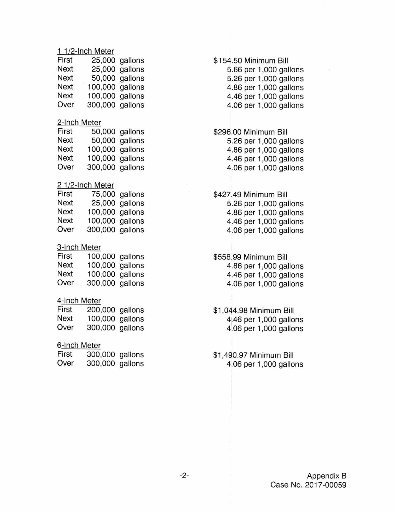### 1 1/2-lnch Meter

| First       |                 | 25,000 gallons |
|-------------|-----------------|----------------|
| Next        |                 | 25,000 gallons |
| <b>Next</b> |                 | 50,000 gallons |
| Next        | 100,000 gallons |                |
| Next        | 100,000 gallons |                |
| Over        | 300,000 gallons |                |

#### 2-lnch Meter

| First |                 | 50,000 gallons |
|-------|-----------------|----------------|
| Next  |                 | 50,000 gallons |
| Next  | 100,000 gallons |                |
| Next  | 100,000 gallons |                |
| Over  | 300,000 gallons |                |

#### 2 1/2-lnch Meter

| First |                 | 75,000 gallons |
|-------|-----------------|----------------|
| Next  |                 | 25,000 gallons |
| Next  | 100,000 gallons |                |
| Next  | 100,000 gallons |                |
| Over  | 300,000 gallons |                |

### 3-lnch Meter

| First | 100,000 gallons |  |
|-------|-----------------|--|
| Next  | 100,000 gallons |  |
| Next  | 100,000 gallons |  |
| Over  | 300,000 gallons |  |

### 4-lnch Meter

| First | 200,000 gallons |  |
|-------|-----------------|--|
| Next  | 100,000 gallons |  |
| Over  | 300,000 gallons |  |

### 6-lnch Meter

| First | 300,000 gallons |  |
|-------|-----------------|--|
| Over  | 300,000 gallons |  |

# \$154.50 Minimum Bill

- 5.66 per 1 ,000 gallons 5.26 per 1 ,000 gallons 4.86 per 1 ,000 gallons 4.46 per 1 ,000 gallons 4.06 per 1,000 gallons
- \$296.00 Minimum Bill 5.26 per 1 ,000 gallons 4.86 per 1 ,000 gallons 4.46 per 1 ,000 gallons 4.06 per 1 ,000 gallons

\$427.49 Minimum Bill 5.26 per 1 ,000 gallons 4.86 per 1 ,000 gallons 4.46 per 1 ,000 gallons 4.06 per 1 ,000 gallons

\$558.99 Minimum Bill 4.86 per 1 ,000 gallons 4.46 per 1 ,000 gallons 4.06 per 1,000 gallons

\$1 ,044.98 Minimum Bill 4.46 per 1,000 gallons 4.06 per 1 ,000 gallons

\$1 ,490.97 Minimum Bill 4.06 per 1 ,000 gallons